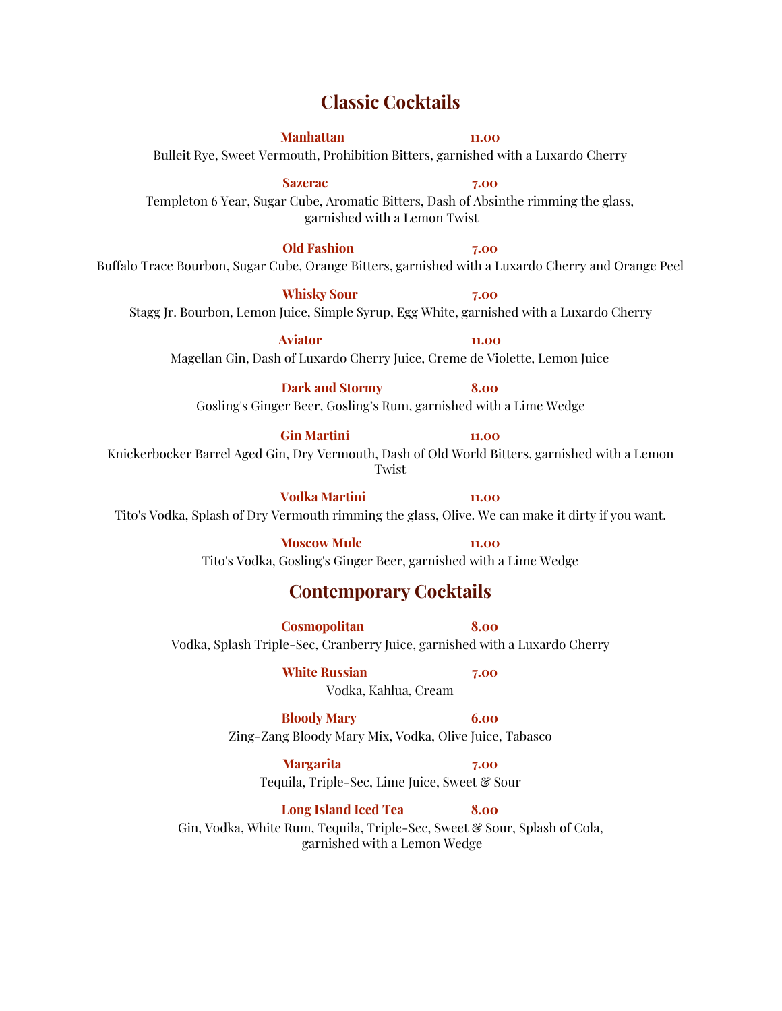## **Classic Cocktails**

**Manhattan 11.00** Bulleit Rye, Sweet Vermouth, Prohibition Bitters, garnished with a Luxardo Cherry

**Sazerac 7.00** Templeton 6 Year, Sugar Cube, Aromatic Bitters, Dash of Absinthe rimming the glass, garnished with a Lemon Twist

**Old Fashion 7.00** Buffalo Trace Bourbon, Sugar Cube, Orange Bitters, garnished with a Luxardo Cherry and Orange Peel

**Whisky Sour 7.00** Stagg Jr. Bourbon, Lemon Juice, Simple Syrup, Egg White, garnished with a Luxardo Cherry

**Aviator 11.00** Magellan Gin, Dash of Luxardo Cherry Juice, Creme de Violette, Lemon Juice

**Dark and Stormy 8.00** Gosling's Ginger Beer, Gosling's Rum, garnished with a Lime Wedge

**Gin Martini 11.00** Knickerbocker Barrel Aged Gin, Dry Vermouth, Dash of Old World Bitters, garnished with a Lemon Twist

**Vodka Martini 11.00** Tito's Vodka, Splash of Dry Vermouth rimming the glass, Olive. We can make it dirty if you want.

> **Moscow Mule 11.00** Tito's Vodka, Gosling's Ginger Beer, garnished with a Lime Wedge

## **Contemporary Cocktails**

**Cosmopolitan 8.00**

Vodka, Splash Triple-Sec, Cranberry Juice, garnished with a Luxardo Cherry

**White Russian 7.00**

Vodka, Kahlua, Cream

#### **Bloody Mary 6.00**

Zing-Zang Bloody Mary Mix, Vodka, Olive Juice, Tabasco

**Margarita 7.00** Tequila, Triple-Sec, Lime Juice, Sweet & Sour

**Long Island Iced Tea 8.00** Gin, Vodka, White Rum, Tequila, Triple-Sec, Sweet & Sour, Splash of Cola, garnished with a Lemon Wedge